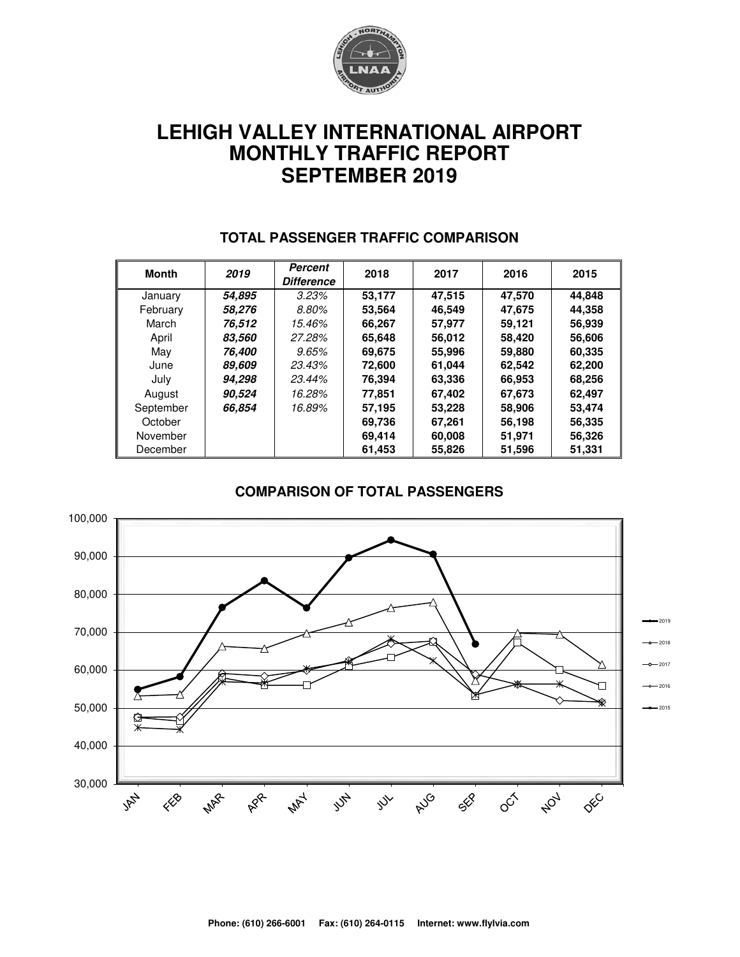

# **LEHIGH VALLEY INTERNATIONAL AIRPORT MONTHLY TRAFFIC REPORT SEPTEMBER 2019**

| Month     | 2019   | Percent<br><b>Difference</b> | 2018   | 2017   | 2016   | 2015   |
|-----------|--------|------------------------------|--------|--------|--------|--------|
| January   | 54,895 | 3.23%                        | 53,177 | 47,515 | 47,570 | 44,848 |
| February  | 58.276 | 8.80%                        | 53.564 | 46,549 | 47,675 | 44,358 |
| March     | 76.512 | 15.46%                       | 66,267 | 57,977 | 59,121 | 56,939 |
| April     | 83,560 | 27.28%                       | 65,648 | 56,012 | 58,420 | 56,606 |
| May       | 76.400 | 9.65%                        | 69.675 | 55,996 | 59,880 | 60,335 |
| June      | 89,609 | 23.43%                       | 72.600 | 61.044 | 62,542 | 62,200 |
| July      | 94,298 | 23.44%                       | 76,394 | 63,336 | 66,953 | 68,256 |
| August    | 90.524 | 16.28%                       | 77.851 | 67.402 | 67.673 | 62,497 |
| September | 66.854 | 16.89%                       | 57,195 | 53.228 | 58,906 | 53,474 |
| October   |        |                              | 69,736 | 67,261 | 56,198 | 56,335 |
| November  |        |                              | 69,414 | 60,008 | 51,971 | 56,326 |
| December  |        |                              | 61.453 | 55.826 | 51,596 | 51,331 |

#### **TOTAL PASSENGER TRAFFIC COMPARISON**

#### **COMPARISON OF TOTAL PASSENGERS**

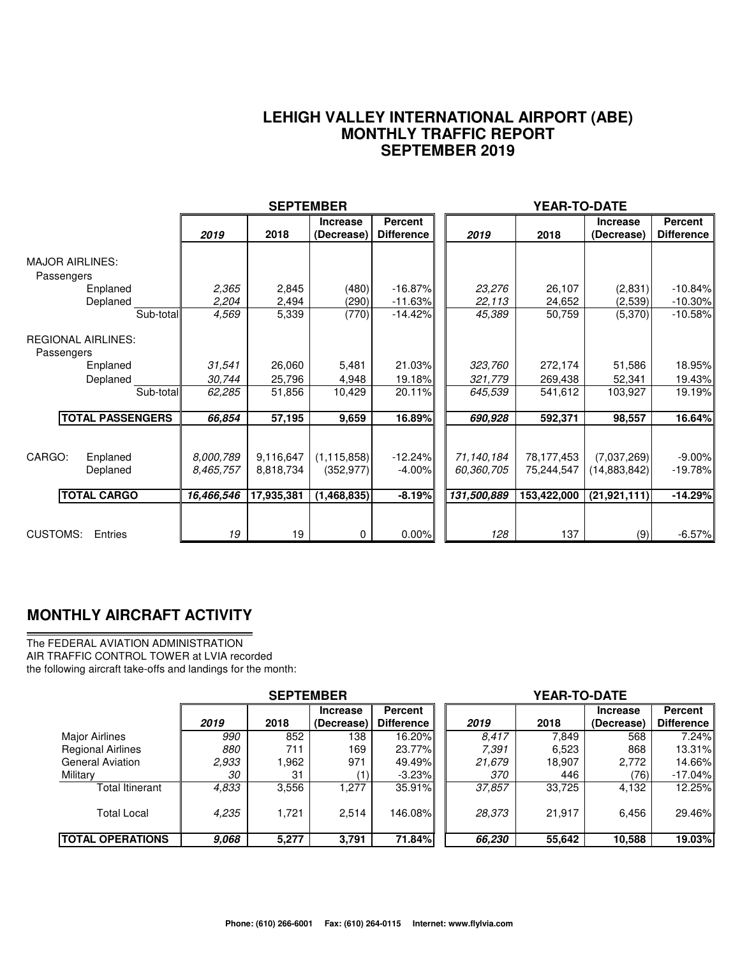#### **LEHIGH VALLEY INTERNATIONAL AIRPORT (ABE) MONTHLY TRAFFIC REPORT SEPTEMBER 2019**

|                                                      |                                      | <b>SEPTEMBER</b>                     |                                            |                                     |                                         | <b>YEAR-TO-DATE</b>                     |                                               |                                    |
|------------------------------------------------------|--------------------------------------|--------------------------------------|--------------------------------------------|-------------------------------------|-----------------------------------------|-----------------------------------------|-----------------------------------------------|------------------------------------|
|                                                      | 2019                                 | 2018                                 | <b>Increase</b><br>(Decrease)              | <b>Percent</b><br><b>Difference</b> | 2019                                    | 2018                                    | <b>Increase</b><br>(Decrease)                 | Percent<br><b>Difference</b>       |
| <b>MAJOR AIRLINES:</b><br>Passengers<br>Enplaned     | 2,365                                | 2,845                                | (480)                                      | $-16.87%$                           | 23,276                                  | 26,107                                  | (2,831)                                       | $-10.84%$                          |
| Deplaned                                             | 2,204                                | 2,494                                | (290)                                      | $-11.63%$                           | 22,113                                  | 24,652                                  | (2,539)                                       | $-10.30\%$                         |
| Sub-total                                            | 4,569                                | 5,339                                | (770)                                      | $-14.42%$                           | 45,389                                  | 50,759                                  | (5,370)                                       | $-10.58%$                          |
| <b>REGIONAL AIRLINES:</b><br>Passengers              |                                      |                                      |                                            |                                     |                                         |                                         |                                               |                                    |
| Enplaned                                             | 31,541                               | 26,060                               | 5,481                                      | 21.03%                              | 323,760                                 | 272,174                                 | 51,586                                        | 18.95%                             |
| Deplaned                                             | 30,744                               | 25,796                               | 4,948                                      | 19.18%                              | 321,779                                 | 269,438                                 | 52,341                                        | 19.43%                             |
| Sub-total                                            | 62,285                               | 51,856                               | 10,429                                     | 20.11%                              | 645,539                                 | 541,612                                 | 103,927                                       | 19.19%                             |
| <b>TOTAL PASSENGERS</b>                              | 66,854                               | 57,195                               | 9,659                                      | 16.89%                              | 690,928                                 | 592,371                                 | 98,557                                        | 16.64%                             |
| CARGO:<br>Enplaned<br>Deplaned<br><b>TOTAL CARGO</b> | 8.000.789<br>8.465.757<br>16,466,546 | 9,116,647<br>8,818,734<br>17,935,381 | (1, 115, 858)<br>(352, 977)<br>(1,468,835) | $-12.24%$<br>$-4.00%$<br>$-8.19%$   | 71,140,184<br>60,360,705<br>131,500,889 | 78,177,453<br>75,244,547<br>153,422,000 | (7,037,269)<br>(14,883,842)<br>(21, 921, 111) | $-9.00%$<br>$-19.78%$<br>$-14.29%$ |
|                                                      |                                      |                                      |                                            |                                     |                                         |                                         |                                               |                                    |
| CUSTOMS:<br>Entries                                  | 19                                   | 19                                   | 0                                          | 0.00%                               | 128                                     | 137                                     | (9)                                           | $-6.57%$                           |

### **MONTHLY AIRCRAFT ACTIVITY**

The FEDERAL AVIATION ADMINISTRATION AIR TRAFFIC CONTROL TOWER at LVIA recorded the following aircraft take-offs and landings for the month:

|                          | <b>SEPTEMBER</b> |        |                 |                   |  | <b>YEAR-TO-DATE</b> |        |                 |            |  |  |
|--------------------------|------------------|--------|-----------------|-------------------|--|---------------------|--------|-----------------|------------|--|--|
|                          |                  |        | <b>Increase</b> | <b>Percent</b>    |  |                     |        | <b>Increase</b> | Percent    |  |  |
|                          | 2019             | 2018   | (Decrease)      | <b>Difference</b> |  | 2019                | 2018   | (Decrease)      | Difference |  |  |
| Major Airlines           | 990              | 852    | 138             | 16.20%            |  | 8.417               | 7.849  | 568             | 7.24%      |  |  |
| <b>Regional Airlines</b> | 880              | 711    | 169             | 23.77%            |  | 7.391               | 6,523  | 868             | 13.31%     |  |  |
| <b>General Aviation</b>  | 2,933            | 962. ا | 971             | 49.49%            |  | 21,679              | 18,907 | 2,772           | 14.66%     |  |  |
| Military                 | 30               | 31     |                 | $-3.23\%$         |  | 370                 | 446    | (76)            | $-17.04%$  |  |  |
| Total Itinerant          | 4,833            | 3,556  | 1.277           | 35.91%            |  | 37,857              | 33.725 | 4,132           | 12.25%     |  |  |
| <b>Total Local</b>       | 4,235            | 1.721  | 2,514           | 146.08%           |  | 28,373              | 21.917 | 6,456           | 29.46%     |  |  |
| <b>TOTAL OPERATIONS</b>  | 9,068            | 5,277  | 3,791           | 71.84%            |  | 66,230              | 55,642 | 10,588          | 19.03%     |  |  |